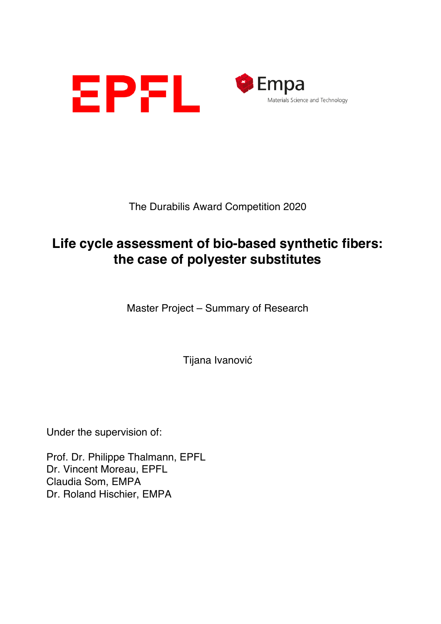



The Durabilis Award Competition 2020

## **Life cycle assessment of bio-based synthetic fibers: the case of polyester substitutes**

Master Project – Summary of Research

Tijana Ivanović

Under the supervision of:

Prof. Dr. Philippe Thalmann, EPFL Dr. Vincent Moreau, EPFL Claudia Som, EMPA Dr. Roland Hischier, EMPA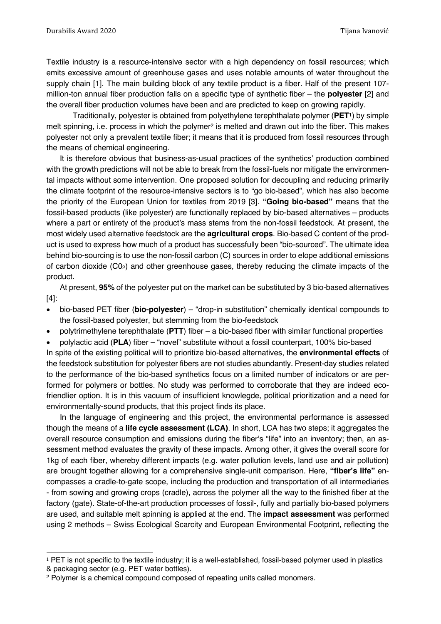Textile industry is a resource-intensive sector with a high dependency on fossil resources; which emits excessive amount of greenhouse gases and uses notable amounts of water throughout the supply chain [1]. The main building block of any textile product is a fiber. Half of the present 107 million-ton annual fiber production falls on a specific type of synthetic fiber – the **polyester** [2] and the overall fiber production volumes have been and are predicted to keep on growing rapidly.

Traditionally, polyester is obtained from polyethylene terephthalate polymer (**PET1**) by simple melt spinning, i.e. process in which the polymer<sup>2</sup> is melted and drawn out into the fiber. This makes polyester not only a prevalent textile fiber; it means that it is produced from fossil resources through the means of chemical engineering.

It is therefore obvious that business-as-usual practices of the synthetics' production combined with the growth predictions will not be able to break from the fossil-fuels nor mitigate the environmental impacts without some intervention. One proposed solution for decoupling and reducing primarily the climate footprint of the resource-intensive sectors is to "go bio-based", which has also become the priority of the European Union for textiles from 2019 [3]. **"Going bio-based"** means that the fossil-based products (like polyester) are functionally replaced by bio-based alternatives – products where a part or entirety of the product's mass stems from the non-fossil feedstock. At present, the most widely used alternative feedstock are the **agricultural crops**. Bio-based C content of the product is used to express how much of a product has successfully been "bio-sourced". The ultimate idea behind bio-sourcing is to use the non-fossil carbon (C) sources in order to elope additional emissions of carbon dioxide  $(CO<sub>2</sub>)$  and other greenhouse gases, thereby reducing the climate impacts of the product.

At present, **95%** of the polyester put on the market can be substituted by 3 bio-based alternatives [4]:

- bio-based PET fiber (**bio-polyester**) "drop-in substitution" chemically identical compounds to the fossil-based polyester, but stemming from the bio-feedstock
- polytrimethylene terephthalate (**PTT**) fiber a bio-based fiber with similar functional properties
- polylactic acid (**PLA**) fiber "novel" substitute without a fossil counterpart, 100% bio-based

In spite of the existing political will to prioritize bio-based alternatives, the **environmental effects** of the feedstock substitution for polyester fibers are not studies abundantly. Present-day studies related to the performance of the bio-based synthetics focus on a limited number of indicators or are performed for polymers or bottles. No study was performed to corroborate that they are indeed ecofriendlier option. It is in this vacuum of insufficient knowlegde, political prioritization and a need for environmentally-sound products, that this project finds its place.

In the language of engineering and this project, the environmental performance is assessed though the means of a **life cycle assessment (LCA)**. In short, LCA has two steps; it aggregates the overall resource consumption and emissions during the fiber's "life" into an inventory; then, an assessment method evaluates the gravity of these impacts. Among other, it gives the overall score for 1kg of each fiber, whereby different impacts (e.g. water pollution levels, land use and air pollution) are brought together allowing for a comprehensive single-unit comparison. Here, **"fiber's life"** encompasses a cradle-to-gate scope, including the production and transportation of all intermediaries - from sowing and growing crops (cradle), across the polymer all the way to the finished fiber at the factory (gate). State-of-the-art production processes of fossil-, fully and partially bio-based polymers are used, and suitable melt spinning is applied at the end. The **impact assessment** was performed using 2 methods – Swiss Ecological Scarcity and European Environmental Footprint, reflecting the

<sup>&</sup>lt;sup>1</sup> PET is not specific to the textile industry; it is a well-established, fossil-based polymer used in plastics & packaging sector (e.g. PET water bottles).

<sup>2</sup> Polymer is a chemical compound composed of repeating units called monomers.